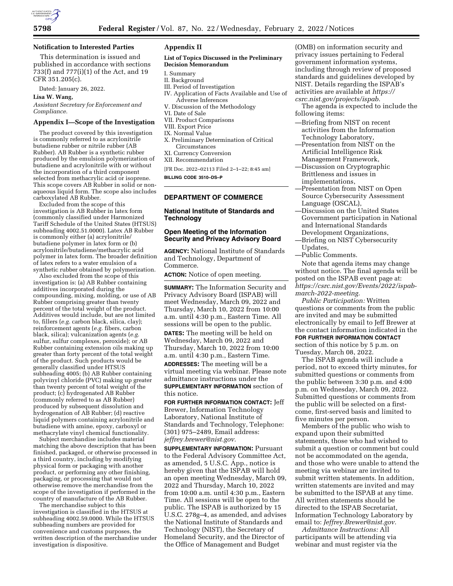

#### **Notification to Interested Parties**

This determination is issued and published in accordance with sections 733(f) and 777(i)(1) of the Act, and 19 CFR 351.205(c).

Dated: January 26, 2022.

**Lisa W. Wang,** 

*Assistant Secretary for Enforcement and Compliance.* 

#### **Appendix I—Scope of the Investigation**

The product covered by this investigation is commonly referred to as acrylonitrile butadiene rubber or nitrile rubber (AB Rubber). AB Rubber is a synthetic rubber produced by the emulsion polymerization of butadiene and acrylonitrile with or without the incorporation of a third component selected from methacrylic acid or isoprene. This scope covers AB Rubber in solid or nonaqueous liquid form. The scope also includes carboxylated AB Rubber.

Excluded from the scope of this investigation is AB Rubber in latex form (commonly classified under Harmonized Tariff Schedule of the United States (HTSUS) subheading 4002.51.0000). Latex AB Rubber is commonly either (a) acrylonitrile/ butadiene polymer in latex form or (b) acrylonitrile/butadiene/methacrylic acid polymer in latex form. The broader definition of latex refers to a water emulsion of a synthetic rubber obtained by polymerization.

Also excluded from the scope of this investigation is: (a) AB Rubber containing additives incorporated during the compounding, mixing, molding, or use of AB Rubber comprising greater than twenty percent of the total weight of the product. Additives would include, but are not limited to, fillers (*e.g.* carbon black, silica, clay); reinforcement agents (*e.g.* fibers, carbon black, silica); vulcanization agents (*e.g.*  sulfur, sulfur complexes, peroxide); or AB Rubber containing extension oils making up greater than forty percent of the total weight of the product. Such products would be generally classified under HTSUS subheading 4005; (b) AB Rubber containing polyvinyl chloride (PVC) making up greater than twenty percent of total weight of the product; (c) hydrogenated AB Rubber (commonly referred to as AB Rubber) produced by subsequent dissolution and hydrogenation of AB Rubber; (d) reactive liquid polymers containing acrylonitrile and butadiene with amine, epoxy, carboxyl or methacrylate vinyl chemical functionality.

Subject merchandise includes material matching the above description that has been finished, packaged, or otherwise processed in a third country, including by modifying physical form or packaging with another product, or performing any other finishing, packaging, or processing that would not otherwise remove the merchandise from the scope of the investigation if performed in the country of manufacture of the AB Rubber.

The merchandise subject to this investigation is classified in the HTSUS at subheading 4002.59.0000. While the HTSUS subheading numbers are provided for convenience and customs purposes, the written description of the merchandise under investigation is dispositive.

## **Appendix II**

#### **List of Topics Discussed in the Preliminary Decision Memorandum**

- I. Summary
- II. Background
- III. Period of Investigation
- IV. Application of Facts Available and Use of Adverse Inferences
- V. Discussion of the Methodology
- VI. Date of Sale
- VII. Product Comparisons
- VIII. Export Price
- IX. Normal Value
- X. Preliminary Determination of Critical Circumstances
- XI. Currency Conversion
- XII. Recommendation
- [FR Doc. 2022–02113 Filed 2–1–22; 8:45 am]

**BILLING CODE 3510–DS–P** 

# **DEPARTMENT OF COMMERCE**

# **National Institute of Standards and Technology**

## **Open Meeting of the Information Security and Privacy Advisory Board**

**AGENCY:** National Institute of Standards and Technology, Department of Commerce.

**ACTION:** Notice of open meeting.

**SUMMARY:** The Information Security and Privacy Advisory Board (ISPAB) will meet Wednesday, March 09, 2022 and Thursday, March 10, 2022 from 10:00 a.m. until 4:30 p.m., Eastern Time. All sessions will be open to the public. **DATES:** The meeting will be held on

Wednesday, March 09, 2022 and Thursday, March 10, 2022 from 10:00 a.m. until 4:30 p.m., Eastern Time.

**ADDRESSES:** The meeting will be a virtual meeting via webinar. Please note admittance instructions under the **SUPPLEMENTARY INFORMATION** section of this notice.

**FOR FURTHER INFORMATION CONTACT:** Jeff Brewer, Information Technology Laboratory, National Institute of Standards and Technology, Telephone: (301) 975–2489, Email address: *[jeffrey.brewer@nist.gov.](mailto:jeffrey.brewer@nist.gov)* 

**SUPPLEMENTARY INFORMATION: Pursuant** to the Federal Advisory Committee Act, as amended, 5 U.S.C. App., notice is hereby given that the ISPAB will hold an open meeting Wednesday, March 09, 2022 and Thursday, March 10, 2022 from 10:00 a.m. until 4:30 p.m., Eastern Time. All sessions will be open to the public. The ISPAB is authorized by 15 U.S.C. 278g–4, as amended, and advises the National Institute of Standards and Technology (NIST), the Secretary of Homeland Security, and the Director of the Office of Management and Budget

(OMB) on information security and privacy issues pertaining to Federal government information systems, including through review of proposed standards and guidelines developed by NIST. Details regarding the ISPAB's activities are available at *[https://](https://csrc.nist.gov/projects/ispab) [csrc.nist.gov/projects/ispab.](https://csrc.nist.gov/projects/ispab)* 

- The agenda is expected to include the following items:
- —Briefing from NIST on recent activities from the Information Technology Laboratory,
- —Presentation from NIST on the Artificial Intelligence Risk Management Framework,
- —Discussion on Cryptographic Brittleness and issues in implementations,
- —Presentation from NIST on Open Source Cybersecurity Assessment Language (OSCAL),
- —Discussion on the United States Government participation in National and International Standards Development Organizations,
- —Briefing on NIST Cybersecurity Updates,

—Public Comments.

Note that agenda items may change without notice. The final agenda will be posted on the ISPAB event page at: *[https://csrc.nist.gov/Events/2022/ispab](https://csrc.nist.gov/Events/2022/ispab-march-2022-meeting)[march-2022-meeting.](https://csrc.nist.gov/Events/2022/ispab-march-2022-meeting)* 

*Public Participation:* Written questions or comments from the public are invited and may be submitted electronically by email to Jeff Brewer at the contact information indicated in the **FOR FURTHER INFORMATION CONTACT** section of this notice by 5 p.m. on Tuesday, March 08, 2022.

The ISPAB agenda will include a period, not to exceed thirty minutes, for submitted questions or comments from the public between 3:30 p.m. and 4:00 p.m. on Wednesday, March 09, 2022. Submitted questions or comments from the public will be selected on a firstcome, first-served basis and limited to five minutes per person.

Members of the public who wish to expand upon their submitted statements, those who had wished to submit a question or comment but could not be accommodated on the agenda, and those who were unable to attend the meeting via webinar are invited to submit written statements. In addition, written statements are invited and may be submitted to the ISPAB at any time. All written statements should be directed to the ISPAB Secretariat, Information Technology Laboratory by email to: *[Jeffrey.Brewer@nist.gov.](mailto:Jeffrey.Brewer@nist.gov)* 

*Admittance Instructions:* All participants will be attending via webinar and must register via the